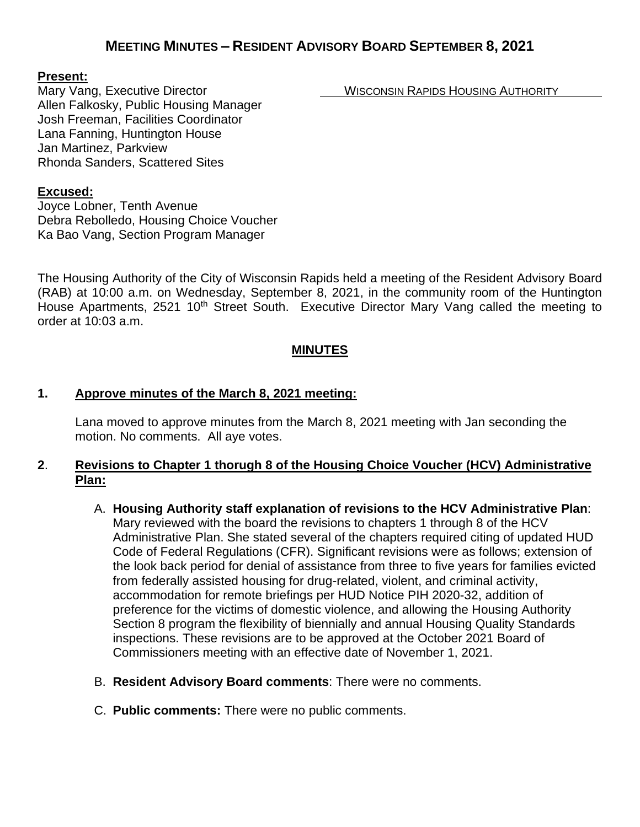# **MEETING MINUTES – RESIDENT ADVISORY BOARD SEPTEMBER 8, 2021**

## **Present:**

Mary Vang, Executive Director Network Consumers WISCONSIN RAPIDS HOUSING AUTHORITY Allen Falkosky, Public Housing Manager Josh Freeman, Facilities Coordinator Lana Fanning, Huntington House Jan Martinez, Parkview Rhonda Sanders, Scattered Sites

#### **Excused:**

Joyce Lobner, Tenth Avenue Debra Rebolledo, Housing Choice Voucher Ka Bao Vang, Section Program Manager

The Housing Authority of the City of Wisconsin Rapids held a meeting of the Resident Advisory Board (RAB) at 10:00 a.m. on Wednesday, September 8, 2021, in the community room of the Huntington House Apartments, 2521 10<sup>th</sup> Street South. Executive Director Mary Vang called the meeting to order at 10:03 a.m.

## **MINUTES**

## **1. Approve minutes of the March 8, 2021 meeting:**

Lana moved to approve minutes from the March 8, 2021 meeting with Jan seconding the motion. No comments. All aye votes.

## **2**. **Revisions to Chapter 1 thorugh 8 of the Housing Choice Voucher (HCV) Administrative Plan:**

- A. **Housing Authority staff explanation of revisions to the HCV Administrative Plan**: Mary reviewed with the board the revisions to chapters 1 through 8 of the HCV Administrative Plan. She stated several of the chapters required citing of updated HUD Code of Federal Regulations (CFR). Significant revisions were as follows; extension of the look back period for denial of assistance from three to five years for families evicted from federally assisted housing for drug-related, violent, and criminal activity, accommodation for remote briefings per HUD Notice PIH 2020-32, addition of preference for the victims of domestic violence, and allowing the Housing Authority Section 8 program the flexibility of biennially and annual Housing Quality Standards inspections. These revisions are to be approved at the October 2021 Board of Commissioners meeting with an effective date of November 1, 2021.
- B. **Resident Advisory Board comments**: There were no comments.
- C. **Public comments:** There were no public comments.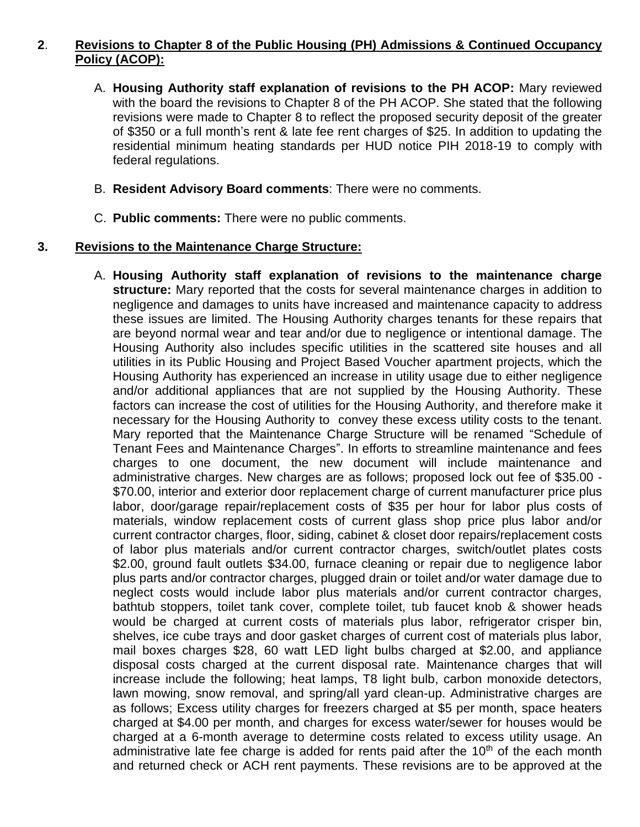## **2**. **Revisions to Chapter 8 of the Public Housing (PH) Admissions & Continued Occupancy Policy (ACOP):**

- A. **Housing Authority staff explanation of revisions to the PH ACOP:** Mary reviewed with the board the revisions to Chapter 8 of the PH ACOP. She stated that the following revisions were made to Chapter 8 to reflect the proposed security deposit of the greater of \$350 or a full month's rent & late fee rent charges of \$25. In addition to updating the residential minimum heating standards per HUD notice PIH 2018-19 to comply with federal regulations.
- B. **Resident Advisory Board comments**: There were no comments.
- C. **Public comments:** There were no public comments.

#### **3. Revisions to the Maintenance Charge Structure:**

A. **Housing Authority staff explanation of revisions to the maintenance charge structure:** Mary reported that the costs for several maintenance charges in addition to negligence and damages to units have increased and maintenance capacity to address these issues are limited. The Housing Authority charges tenants for these repairs that are beyond normal wear and tear and/or due to negligence or intentional damage. The Housing Authority also includes specific utilities in the scattered site houses and all utilities in its Public Housing and Project Based Voucher apartment projects, which the Housing Authority has experienced an increase in utility usage due to either negligence and/or additional appliances that are not supplied by the Housing Authority. These factors can increase the cost of utilities for the Housing Authority, and therefore make it necessary for the Housing Authority to convey these excess utility costs to the tenant. Mary reported that the Maintenance Charge Structure will be renamed "Schedule of Tenant Fees and Maintenance Charges". In efforts to streamline maintenance and fees charges to one document, the new document will include maintenance and administrative charges. New charges are as follows; proposed lock out fee of \$35.00 - \$70.00, interior and exterior door replacement charge of current manufacturer price plus labor, door/garage repair/replacement costs of \$35 per hour for labor plus costs of materials, window replacement costs of current glass shop price plus labor and/or current contractor charges, floor, siding, cabinet & closet door repairs/replacement costs of labor plus materials and/or current contractor charges, switch/outlet plates costs \$2.00, ground fault outlets \$34.00, furnace cleaning or repair due to negligence labor plus parts and/or contractor charges, plugged drain or toilet and/or water damage due to neglect costs would include labor plus materials and/or current contractor charges, bathtub stoppers, toilet tank cover, complete toilet, tub faucet knob & shower heads would be charged at current costs of materials plus labor, refrigerator crisper bin, shelves, ice cube trays and door gasket charges of current cost of materials plus labor, mail boxes charges \$28, 60 watt LED light bulbs charged at \$2.00, and appliance disposal costs charged at the current disposal rate. Maintenance charges that will increase include the following; heat lamps, T8 light bulb, carbon monoxide detectors, lawn mowing, snow removal, and spring/all yard clean-up. Administrative charges are as follows; Excess utility charges for freezers charged at \$5 per month, space heaters charged at \$4.00 per month, and charges for excess water/sewer for houses would be charged at a 6-month average to determine costs related to excess utility usage. An administrative late fee charge is added for rents paid after the  $10<sup>th</sup>$  of the each month and returned check or ACH rent payments. These revisions are to be approved at the